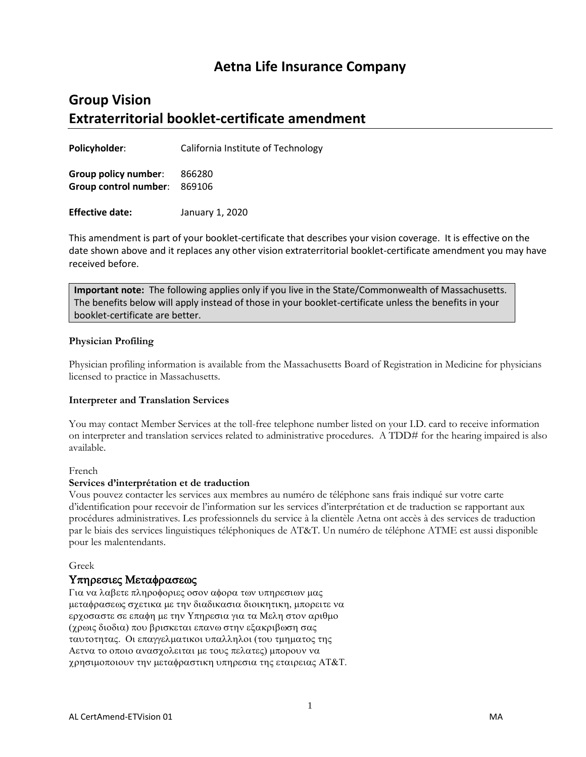## **Aetna Life Insurance Company**

# **Group Vision Extraterritorial booklet-certificate amendment**

**Policyholder**: California Institute of Technology

**Group policy number**: 866280 **Group control number**: 869106

**Effective date:** January 1, 2020

This amendment is part of your booklet-certificate that describes your vision coverage. It is effective on the date shown above and it replaces any other vision extraterritorial booklet-certificate amendment you may have received before.

**Important note:** The following applies only if you live in the State/Commonwealth of Massachusetts. The benefits below will apply instead of those in your booklet-certificate unless the benefits in your booklet-certificate are better.

#### **Physician Profiling**

Physician profiling information is available from the Massachusetts Board of Registration in Medicine for physicians licensed to practice in Massachusetts.

#### **Interpreter and Translation Services**

You may contact Member Services at the toll-free telephone number listed on your I.D. card to receive information on interpreter and translation services related to administrative procedures. A TDD# for the hearing impaired is also available.

#### French

#### **Services d'interprétation et de traduction**

Vous pouvez contacter les services aux membres au numéro de téléphone sans frais indiqué sur votre carte d'identification pour recevoir de l'information sur les services d'interprétation et de traduction se rapportant aux procédures administratives. Les professionnels du service à la clientèle Aetna ont accès à des services de traduction par le biais des services linguistiques téléphoniques de AT&T. Un numéro de téléphone ATME est aussi disponible pour les malentendants.

#### Greek

#### Υπηρεσιες Μεταφρασεως

Για να λαβετε πληροφοριες οσον αφορα των υπηρεσιων μας μεταφρασεως σχετικα με την διαδικασια διοικητικη, μπορειτε να ερχοσαστε σε επαφη με την Υπηρεσια για τα Μελη στον αριθμο (χρωις διοδια) που βρισκεται επανω στην εξακριβωση σας ταυτοτητας. Οι επαγγελματικοι υπαλληλοι (του τμηματος της Αετνα το οποιο ανασχολειται με τους πελατες) μπορουν να χρησιμοποιουν την μεταφραστικη υπηρεσια της εταιρειας ΑΤ&Τ.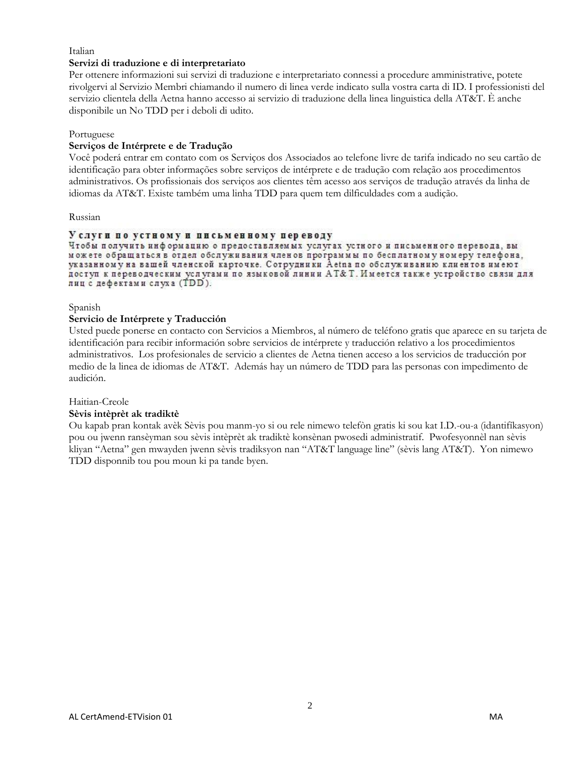#### Italian

#### **Servizi di traduzione e di interpretariato**

Per ottenere informazioni sui servizi di traduzione e interpretariato connessi a procedure amministrative, potete rivolgervi al Servizio Membri chiamando il numero di linea verde indicato sulla vostra carta di ID. I professionisti del servizio clientela della Aetna hanno accesso ai servizio di traduzione della linea linguistica della AT&T. È anche disponibile un No TDD per i deboli di udito.

#### Portuguese

#### **Serviços de Intérprete e de Tradução**

Você poderá entrar em contato com os Serviços dos Associados ao telefone livre de tarifa indicado no seu cartão de identificação para obter informações sobre serviços de intérprete e de tradução com relação aos procedimentos administrativos. Os profissionais dos serviços aos clientes têm acesso aos serviços de tradução através da linha de idiomas da AT&T. Existe também uma linha TDD para quem tem dilficuldades com a audição.

#### Russian

#### Услуги по устному и письменному переводу

Чтобы получить информацию о предоставляемых услугах устного и письменного перевода, вы можете обращаться в отдел обслуживания членов программы по бесплатному номеру телефона. указанному на вашей членской карточке. Сотрудники Aetna по обслуживанию клиентов имеют доступ к переводческим услугами по языковой линии АТ&Т. Имеется также устройство связи для лиц с дефектами слуха (TDD).

#### Spanish

#### **Servicio de Intérprete y Traducción**

Usted puede ponerse en contacto con Servicios a Miembros, al número de teléfono gratis que aparece en su tarjeta de identificación para recibir información sobre servicios de intérprete y traducción relativo a los procedimientos administrativos. Los profesionales de servicio a clientes de Aetna tienen acceso a los servicios de traducción por medio de la linea de idiomas de AT&T. Además hay un número de TDD para las personas con impedimento de audición.

#### Haitian-Creole

#### **Sèvis intèprèt ak tradiktè**

Ou kapab pran kontak avèk Sèvis pou manm-yo si ou rele nimewo telefòn gratis ki sou kat I.D.-ou-a (idantifíkasyon) pou ou jwenn ransèyman sou sèvis intèprèt ak tradiktè konsènan pwosedi administratif. Pwofesyonnèl nan sèvis kliyan "Aetna" gen mwayden jwenn sèvis tradiksyon nan "AT&T language line" (sèvis lang AT&T). Yon nimewo TDD disponnib tou pou moun ki pa tande byen.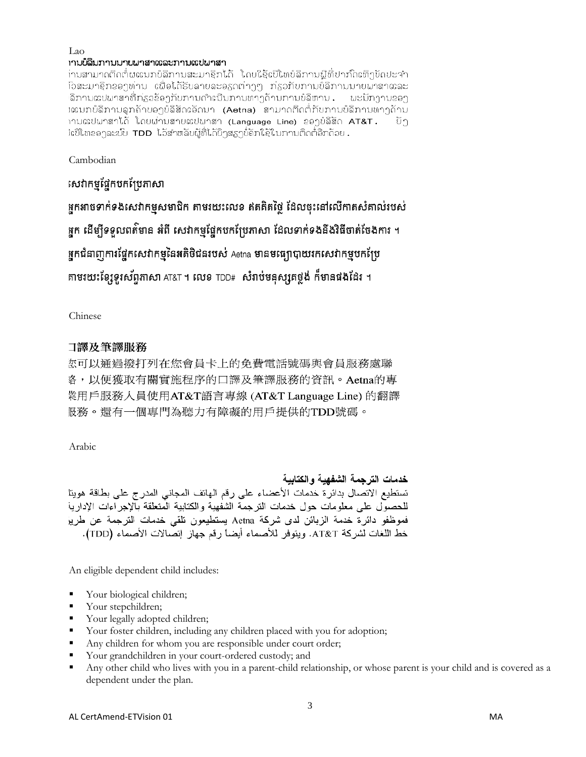# Lao<br>เามข้อมภามมายผาสาเตอะภามเตปผาสา

່ານສາມາດຕິດຕໍ່ຜຜນກບໍລິການສະມາຊິກໄດ້ ໂດຍໃຊ້ເປີໂທບໍລິການຟຼີທີ່ປາກົດເທິງບັດປະຈຳ ົວສະມາຊິກຂອງທ່ານ ເພື່ອໄດ້ຮັບລາຍລະອຽດຕ່າງໆ ກ່ຽວກັບການບໍລິການນາຍພາສາແລະ ລິການແປພາສາທີ່ກ່ຽວຂ້ອງກັບການດຳເນີນການທາງດ້ານການບໍລິຫານ . ພະນັກງານຂອງ Iແນກບໍລິການລູກຄ້າບອງບໍລິສັດເອັດນາ **(Aetna)** ສາມາດຕິດຕໍ່ກັບການບໍລິການທາງດ້ານ າານແປພາສາໄດ້ ໂດຍຜ່ານສາຍແປພາສາ (Language Line) ຂອງບໍລິສັດ AT&T. ้ยัງ iເປີໂທຂອງລະບົບ TDD ໄວ້ສຳຫລັບຜູ້ທີ່ໄດ້ຍິງສຽງບໍ່ຄັກໃຊ້ໃນການຕິດຕໍ່ອີກດ້ວຍ .

Cambodian

សៅកម្មផ្នែកបកប្រែភាសា

ដ្ឋកអាចទាក់ទងសេវាកម្មសមាជិក តាមរយះលេខ ឥតគិតថ្លៃ ដែលចុះនៅលើកាតសំគាល់របស់ ដ្នក ដើម្បីទទួលពត៌មាន អំពី សេវាកម្មផ្នែកបកប្រែភាសា ដែលទាក់ទងនឹងវិធីចាត់ចែងការ ។ ដ្ឋកជំនាញការផ្នែកសេវាកម្មនៃអតិថិជនរបស់ Aetna មានមធ្យោបាយរកសេវាកម្មបកប្រែ តាមរយះខ្សែទូរស័ព្ទភាសា AT&T ។ លេខ TDD# សំរាប់មឝុស្សគថ្ពង់ ក៏មាឝផងដែរ ។

Chinese

#### 口譯及筆譯服務

**您可以通過撥打列在您會員卡上的免費電話號碼與會員服務處聯** 各,以便獲取有關實施程序的口譯及筆譯服務的資訊。Aetna的專 業用戶服務人員使用AT&T語言專線 (AT&T Language Line) 的翻譯 le務。還有一個專門為聽力有障礙的用戶提供的TDD號碼。

Arabic

### خدمات الترجمة الشفهية والكتابية

تستطيع الاتصال بدائرة خدمات الأعضاء على رقم الهاتف المجاني المدرج على بطاقة هويتا للحصول على معلومات حول خدمات الترجمة الشفهية والكتابية المتعلقة بآلإجراءات الإداريا فموظفو دائرة خدمة الزبائن لدى شركة Aetna يستطيعون تلقى خدمات الترجمة عن طري<sub>ا</sub> خط اللغات لشركة AT&T. ويتوفر للأصماء أيضاً رقم جهاز إتصالات الأصماء (TDD).

An eligible dependent child includes:

- **Vour biological children;**
- Your stepchildren;
- Your legally adopted children;
- Your foster children, including any children placed with you for adoption;
- Any children for whom you are responsible under court order;
- Your grandchildren in your court-ordered custody; and
- Any other child who lives with you in a parent-child relationship, or whose parent is your child and is covered as a dependent under the plan.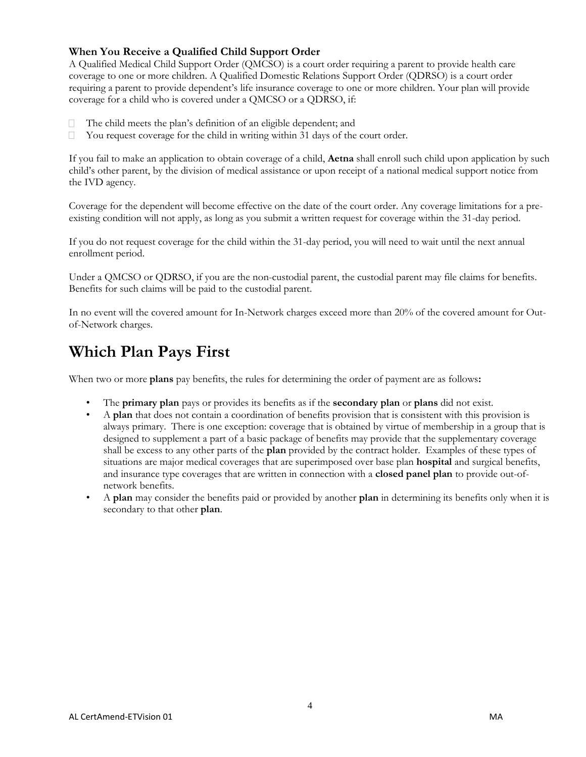#### **When You Receive a Qualified Child Support Order**

A Qualified Medical Child Support Order (QMCSO) is a court order requiring a parent to provide health care coverage to one or more children. A Qualified Domestic Relations Support Order (QDRSO) is a court order requiring a parent to provide dependent's life insurance coverage to one or more children. Your plan will provide coverage for a child who is covered under a QMCSO or a QDRSO, if:

- П The child meets the plan's definition of an eligible dependent; and
- $\Box$ You request coverage for the child in writing within 31 days of the court order.

If you fail to make an application to obtain coverage of a child, **Aetna** shall enroll such child upon application by such child's other parent, by the division of medical assistance or upon receipt of a national medical support notice from the IVD agency.

Coverage for the dependent will become effective on the date of the court order. Any coverage limitations for a preexisting condition will not apply, as long as you submit a written request for coverage within the 31-day period.

If you do not request coverage for the child within the 31-day period, you will need to wait until the next annual enrollment period.

Under a QMCSO or QDRSO, if you are the non-custodial parent, the custodial parent may file claims for benefits. Benefits for such claims will be paid to the custodial parent.

In no event will the covered amount for In-Network charges exceed more than 20% of the covered amount for Outof-Network charges.

# **Which Plan Pays First**

When two or more **plans** pay benefits, the rules for determining the order of payment are as follows**:**

- The **primary plan** pays or provides its benefits as if the **secondary plan** or **plans** did not exist.
- A **plan** that does not contain a coordination of benefits provision that is consistent with this provision is always primary. There is one exception: coverage that is obtained by virtue of membership in a group that is designed to supplement a part of a basic package of benefits may provide that the supplementary coverage shall be excess to any other parts of the **plan** provided by the contract holder. Examples of these types of situations are major medical coverages that are superimposed over base plan **hospital** and surgical benefits, and insurance type coverages that are written in connection with a **closed panel plan** to provide out-ofnetwork benefits.
- A **plan** may consider the benefits paid or provided by another **plan** in determining its benefits only when it is secondary to that other **plan**.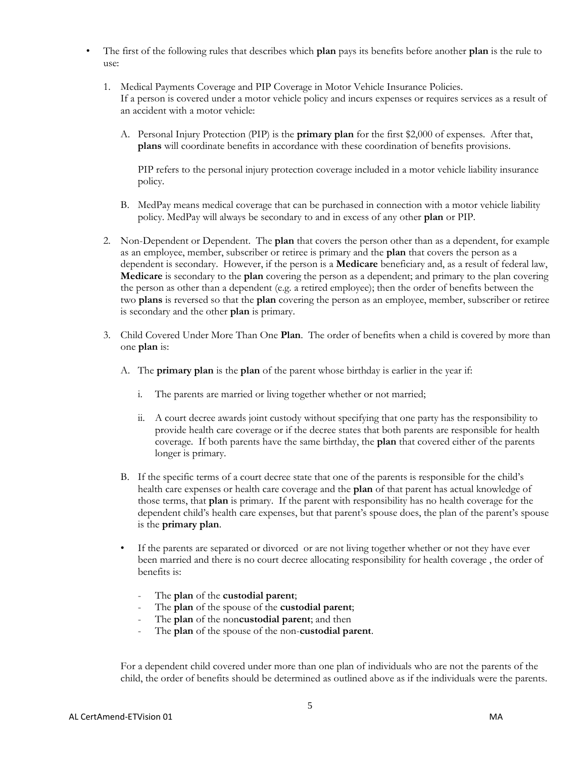- The first of the following rules that describes which **plan** pays its benefits before another **plan** is the rule to use:
	- 1. Medical Payments Coverage and PIP Coverage in Motor Vehicle Insurance Policies. If a person is covered under a motor vehicle policy and incurs expenses or requires services as a result of an accident with a motor vehicle:
		- A. Personal Injury Protection (PIP) is the **primary plan** for the first \$2,000 of expenses. After that, **plans** will coordinate benefits in accordance with these coordination of benefits provisions.

PIP refers to the personal injury protection coverage included in a motor vehicle liability insurance policy.

- B. MedPay means medical coverage that can be purchased in connection with a motor vehicle liability policy. MedPay will always be secondary to and in excess of any other **plan** or PIP.
- 2. Non-Dependent or Dependent. The **plan** that covers the person other than as a dependent, for example as an employee, member, subscriber or retiree is primary and the **plan** that covers the person as a dependent is secondary. However, if the person is a **Medicare** beneficiary and, as a result of federal law, **Medicare** is secondary to the **plan** covering the person as a dependent; and primary to the plan covering the person as other than a dependent (e.g. a retired employee); then the order of benefits between the two **plans** is reversed so that the **plan** covering the person as an employee, member, subscriber or retiree is secondary and the other **plan** is primary.
- 3. Child Covered Under More Than One **Plan**. The order of benefits when a child is covered by more than one **plan** is:
	- A. The **primary plan** is the **plan** of the parent whose birthday is earlier in the year if:
		- i. The parents are married or living together whether or not married;
		- ii. A court decree awards joint custody without specifying that one party has the responsibility to provide health care coverage or if the decree states that both parents are responsible for health coverage. If both parents have the same birthday, the **plan** that covered either of the parents longer is primary.
	- B. If the specific terms of a court decree state that one of the parents is responsible for the child's health care expenses or health care coverage and the **plan** of that parent has actual knowledge of those terms, that **plan** is primary. If the parent with responsibility has no health coverage for the dependent child's health care expenses, but that parent's spouse does, the plan of the parent's spouse is the **primary plan**.
	- If the parents are separated or divorced or are not living together whether or not they have ever been married and there is no court decree allocating responsibility for health coverage , the order of benefits is:
		- The **plan** of the **custodial parent**;
		- The **plan** of the spouse of the **custodial parent**;
		- The **plan** of the noncustodial parent; and then
		- The **plan** of the spouse of the non-**custodial parent**.

For a dependent child covered under more than one plan of individuals who are not the parents of the child, the order of benefits should be determined as outlined above as if the individuals were the parents.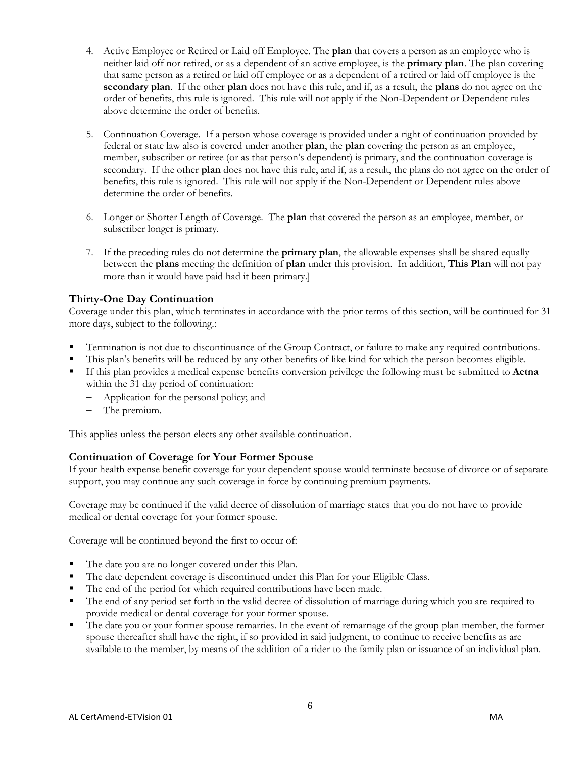- 4. Active Employee or Retired or Laid off Employee. The **plan** that covers a person as an employee who is neither laid off nor retired, or as a dependent of an active employee, is the **primary plan**. The plan covering that same person as a retired or laid off employee or as a dependent of a retired or laid off employee is the **secondary plan**. If the other **plan** does not have this rule, and if, as a result, the **plans** do not agree on the order of benefits, this rule is ignored. This rule will not apply if the Non-Dependent or Dependent rules above determine the order of benefits.
- 5. Continuation Coverage. If a person whose coverage is provided under a right of continuation provided by federal or state law also is covered under another **plan**, the **plan** covering the person as an employee, member, subscriber or retiree (or as that person's dependent) is primary, and the continuation coverage is secondary. If the other **plan** does not have this rule, and if, as a result, the plans do not agree on the order of benefits, this rule is ignored. This rule will not apply if the Non-Dependent or Dependent rules above determine the order of benefits.
- 6. Longer or Shorter Length of Coverage. The **plan** that covered the person as an employee, member, or subscriber longer is primary.
- 7. If the preceding rules do not determine the **primary plan**, the allowable expenses shall be shared equally between the **plans** meeting the definition of **plan** under this provision. In addition, **This Plan** will not pay more than it would have paid had it been primary.]

#### **Thirty-One Day Continuation**

Coverage under this plan, which terminates in accordance with the prior terms of this section, will be continued for 31 more days, subject to the following.:

- Termination is not due to discontinuance of the Group Contract, or failure to make any required contributions.
- This plan's benefits will be reduced by any other benefits of like kind for which the person becomes eligible.
- If this plan provides a medical expense benefits conversion privilege the following must be submitted to **Aetna**  within the 31 day period of continuation:
	- Application for the personal policy; and
	- The premium.

This applies unless the person elects any other available continuation.

#### **Continuation of Coverage for Your Former Spouse**

If your health expense benefit coverage for your dependent spouse would terminate because of divorce or of separate support, you may continue any such coverage in force by continuing premium payments.

Coverage may be continued if the valid decree of dissolution of marriage states that you do not have to provide medical or dental coverage for your former spouse.

Coverage will be continued beyond the first to occur of:

- The date you are no longer covered under this Plan.
- The date dependent coverage is discontinued under this Plan for your Eligible Class.
- The end of the period for which required contributions have been made.
- The end of any period set forth in the valid decree of dissolution of marriage during which you are required to provide medical or dental coverage for your former spouse.
- The date you or your former spouse remarries. In the event of remarriage of the group plan member, the former spouse thereafter shall have the right, if so provided in said judgment, to continue to receive benefits as are available to the member, by means of the addition of a rider to the family plan or issuance of an individual plan.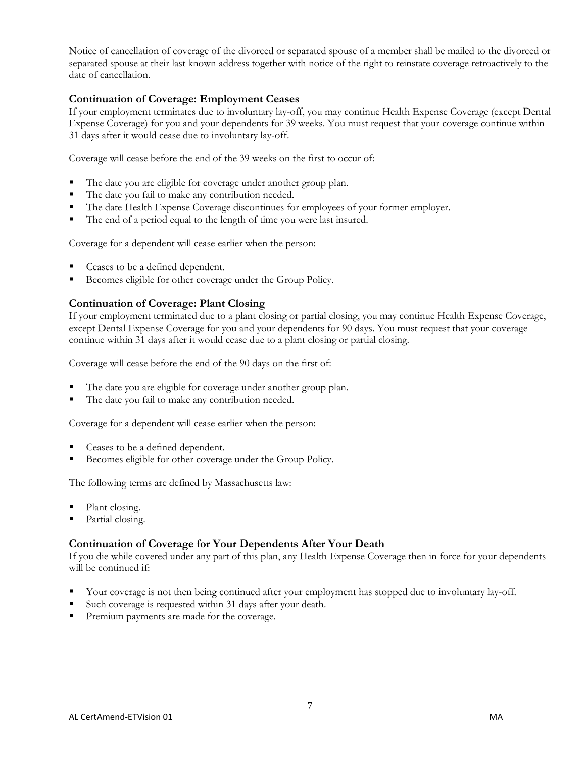Notice of cancellation of coverage of the divorced or separated spouse of a member shall be mailed to the divorced or separated spouse at their last known address together with notice of the right to reinstate coverage retroactively to the date of cancellation.

#### **Continuation of Coverage: Employment Ceases**

If your employment terminates due to involuntary lay-off, you may continue Health Expense Coverage (except Dental Expense Coverage) for you and your dependents for 39 weeks. You must request that your coverage continue within 31 days after it would cease due to involuntary lay-off.

Coverage will cease before the end of the 39 weeks on the first to occur of:

- The date you are eligible for coverage under another group plan.
- The date you fail to make any contribution needed.
- The date Health Expense Coverage discontinues for employees of your former employer.
- The end of a period equal to the length of time you were last insured.

Coverage for a dependent will cease earlier when the person:

- Ceases to be a defined dependent.
- Becomes eligible for other coverage under the Group Policy.

#### **Continuation of Coverage: Plant Closing**

If your employment terminated due to a plant closing or partial closing, you may continue Health Expense Coverage, except Dental Expense Coverage for you and your dependents for 90 days. You must request that your coverage continue within 31 days after it would cease due to a plant closing or partial closing.

Coverage will cease before the end of the 90 days on the first of:

- The date you are eligible for coverage under another group plan.
- The date you fail to make any contribution needed.

Coverage for a dependent will cease earlier when the person:

- Ceases to be a defined dependent.
- Becomes eligible for other coverage under the Group Policy.

The following terms are defined by Massachusetts law:

- Plant closing.
- Partial closing.

#### **Continuation of Coverage for Your Dependents After Your Death**

If you die while covered under any part of this plan, any Health Expense Coverage then in force for your dependents will be continued if:

- Your coverage is not then being continued after your employment has stopped due to involuntary lay-off.
- Such coverage is requested within 31 days after your death.
- Premium payments are made for the coverage.